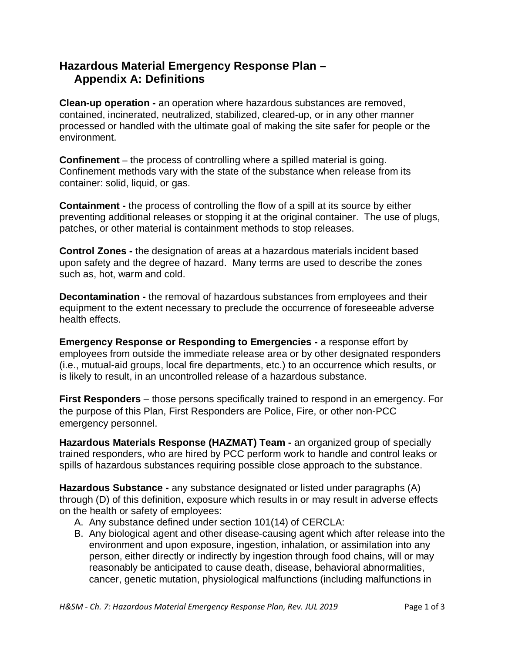## **Hazardous Material Emergency Response Plan – Appendix A: Definitions**

**Clean-up operation -** an operation where hazardous substances are removed, contained, incinerated, neutralized, stabilized, cleared-up, or in any other manner processed or handled with the ultimate goal of making the site safer for people or the environment.

**Confinement –** the process of controlling where a spilled material is going. Confinement methods vary with the state of the substance when release from its container: solid, liquid, or gas.

**Containment -** the process of controlling the flow of a spill at its source by either preventing additional releases or stopping it at the original container. The use of plugs, patches, or other material is containment methods to stop releases.

**Control Zones -** the designation of areas at a hazardous materials incident based upon safety and the degree of hazard. Many terms are used to describe the zones such as, hot, warm and cold.

**Decontamination -** the removal of hazardous substances from employees and their equipment to the extent necessary to preclude the occurrence of foreseeable adverse health effects.

**Emergency Response or Responding to Emergencies -** a response effort by employees from outside the immediate release area or by other designated responders (i.e., mutual-aid groups, local fire departments, etc.) to an occurrence which results, or is likely to result, in an uncontrolled release of a hazardous substance.

**First Responders** – those persons specifically trained to respond in an emergency. For the purpose of this Plan, First Responders are Police, Fire, or other non-PCC emergency personnel.

**Hazardous Materials Response (HAZMAT) Team -** an organized group of specially trained responders, who are hired by PCC perform work to handle and control leaks or spills of hazardous substances requiring possible close approach to the substance.

**Hazardous Substance -** any substance designated or listed under paragraphs (A) through (D) of this definition, exposure which results in or may result in adverse effects on the health or safety of employees:

- A. Any substance defined under section 101(14) of CERCLA:
- B. Any biological agent and other disease-causing agent which after release into the environment and upon exposure, ingestion, inhalation, or assimilation into any person, either directly or indirectly by ingestion through food chains, will or may reasonably be anticipated to cause death, disease, behavioral abnormalities, cancer, genetic mutation, physiological malfunctions (including malfunctions in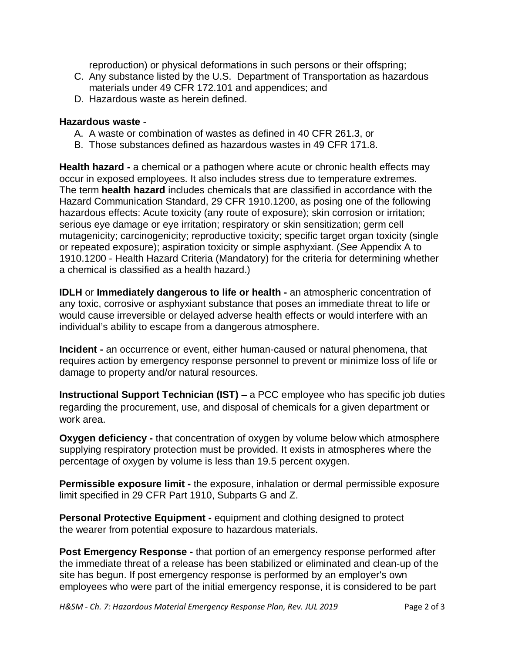reproduction) or physical deformations in such persons or their offspring;

- C. Any substance listed by the U.S. Department of Transportation as hazardous materials under 49 CFR 172.101 and appendices; and
- D. Hazardous waste as herein defined.

## **Hazardous waste** -

- A. A waste or combination of wastes as defined in 40 CFR 261.3, or
- B. Those substances defined as hazardous wastes in 49 CFR 171.8.

**Health hazard -** a chemical or a pathogen where acute or chronic health effects may occur in exposed employees. It also includes stress due to temperature extremes. The term **health hazard** includes chemicals that are classified in accordance with the Hazard Communication Standard, 29 CFR 1910.1200, as posing one of the following hazardous effects: Acute toxicity (any route of exposure); skin corrosion or irritation; serious eye damage or eye irritation; respiratory or skin sensitization; germ cell mutagenicity; carcinogenicity; reproductive toxicity; specific target organ toxicity (single or repeated exposure); aspiration toxicity or simple asphyxiant. (*See* Appendix A to 1910.1200 - Health Hazard Criteria (Mandatory) for the criteria for determining whether a chemical is classified as a health hazard.)

**IDLH** or **Immediately dangerous to life or health -** an atmospheric concentration of any toxic, corrosive or asphyxiant substance that poses an immediate threat to life or would cause irreversible or delayed adverse health effects or would interfere with an individual's ability to escape from a dangerous atmosphere.

**Incident -** an occurrence or event, either human-caused or natural phenomena, that requires action by emergency response personnel to prevent or minimize loss of life or damage to property and/or natural resources.

**Instructional Support Technician (IST)** – a PCC employee who has specific job duties regarding the procurement, use, and disposal of chemicals for a given department or work area.

**Oxygen deficiency -** that concentration of oxygen by volume below which atmosphere supplying respiratory protection must be provided. It exists in atmospheres where the percentage of oxygen by volume is less than 19.5 percent oxygen.

**Permissible exposure limit -** the exposure, inhalation or dermal permissible exposure limit specified in 29 CFR Part 1910, Subparts G and Z.

**Personal Protective Equipment -** equipment and clothing designed to protect the wearer from potential exposure to hazardous materials.

**Post Emergency Response -** that portion of an emergency response performed after the immediate threat of a release has been stabilized or eliminated and clean-up of the site has begun. If post emergency response is performed by an employer's own employees who were part of the initial emergency response, it is considered to be part